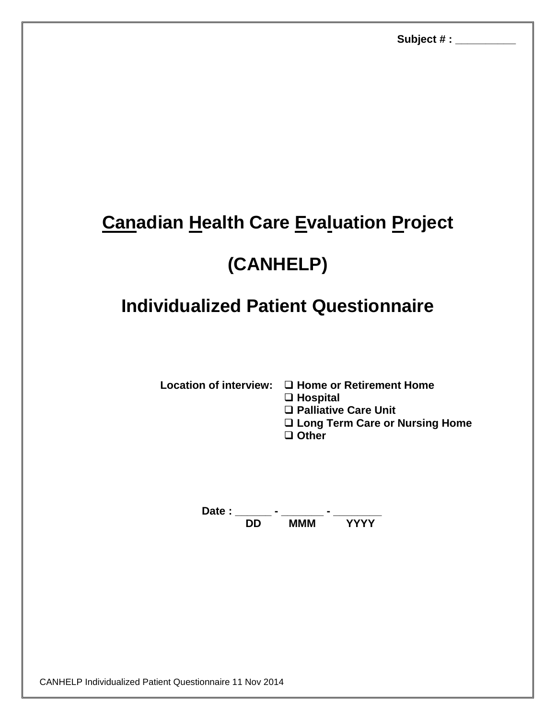## **Canadian Health Care Evaluation Project**

## **(CANHELP)**

## **Individualized Patient Questionnaire**

**Location of interview: □ Home or Retirement Home** 

**Hospital**

**Palliative Care Unit** 

**Long Term Care or Nursing Home**

**Other**

**Date : \_\_\_\_\_\_ - \_\_\_\_\_\_\_ - \_\_\_\_\_\_\_\_ DD MMM YYYY**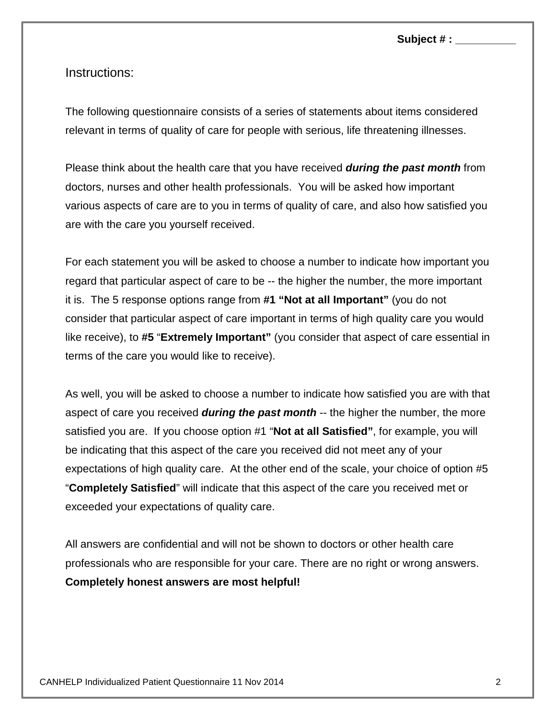## Instructions:

The following questionnaire consists of a series of statements about items considered relevant in terms of quality of care for people with serious, life threatening illnesses.

Please think about the health care that you have received *during the past month* from doctors, nurses and other health professionals. You will be asked how important various aspects of care are to you in terms of quality of care, and also how satisfied you are with the care you yourself received.

For each statement you will be asked to choose a number to indicate how important you regard that particular aspect of care to be -- the higher the number, the more important it is. The 5 response options range from **#1 "Not at all Important"** (you do not consider that particular aspect of care important in terms of high quality care you would like receive), to **#5** "**Extremely Important"** (you consider that aspect of care essential in terms of the care you would like to receive).

As well, you will be asked to choose a number to indicate how satisfied you are with that aspect of care you received *during the past month* -- the higher the number, the more satisfied you are. If you choose option #1 "**Not at all Satisfied"**, for example, you will be indicating that this aspect of the care you received did not meet any of your expectations of high quality care. At the other end of the scale, your choice of option #5 "**Completely Satisfied**" will indicate that this aspect of the care you received met or exceeded your expectations of quality care.

All answers are confidential and will not be shown to doctors or other health care professionals who are responsible for your care. There are no right or wrong answers. **Completely honest answers are most helpful!**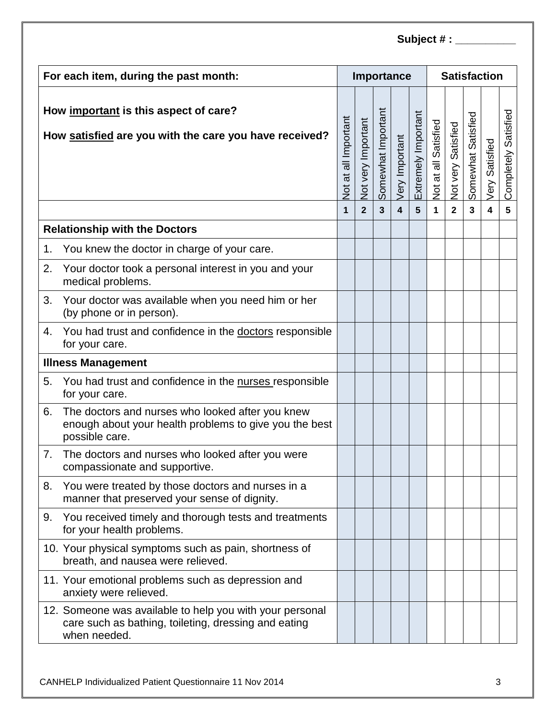| For each item, during the past month:                                                           |                                                                                                                                  |                      |                    |                    | Importance              |                     | <b>Satisfaction</b>  |                    |                    |                         |                         |  |
|-------------------------------------------------------------------------------------------------|----------------------------------------------------------------------------------------------------------------------------------|----------------------|--------------------|--------------------|-------------------------|---------------------|----------------------|--------------------|--------------------|-------------------------|-------------------------|--|
| How important is this aspect of care?<br>How satisfied are you with the care you have received? |                                                                                                                                  | Not at all Important | Not very Important | Somewhat Important | Very Important          | Extremely Important | Not at all Satisfied | Not very Satisfied | Somewhat Satisfied | Very Satisfied          | Satisfied<br>Completely |  |
|                                                                                                 |                                                                                                                                  | 1                    | $\overline{2}$     | $\overline{3}$     | $\overline{\mathbf{4}}$ | 5                   | 1                    | $\overline{2}$     | 3                  | $\overline{\mathbf{4}}$ | 5                       |  |
|                                                                                                 | <b>Relationship with the Doctors</b>                                                                                             |                      |                    |                    |                         |                     |                      |                    |                    |                         |                         |  |
| 1.                                                                                              | You knew the doctor in charge of your care.                                                                                      |                      |                    |                    |                         |                     |                      |                    |                    |                         |                         |  |
| 2.                                                                                              | Your doctor took a personal interest in you and your<br>medical problems.                                                        |                      |                    |                    |                         |                     |                      |                    |                    |                         |                         |  |
| 3.                                                                                              | Your doctor was available when you need him or her<br>(by phone or in person).                                                   |                      |                    |                    |                         |                     |                      |                    |                    |                         |                         |  |
| 4.                                                                                              | You had trust and confidence in the doctors responsible<br>for your care.                                                        |                      |                    |                    |                         |                     |                      |                    |                    |                         |                         |  |
| <b>Illness Management</b>                                                                       |                                                                                                                                  |                      |                    |                    |                         |                     |                      |                    |                    |                         |                         |  |
| 5.                                                                                              | You had trust and confidence in the nurses responsible<br>for your care.                                                         |                      |                    |                    |                         |                     |                      |                    |                    |                         |                         |  |
| 6.                                                                                              | The doctors and nurses who looked after you knew<br>enough about your health problems to give you the best<br>possible care.     |                      |                    |                    |                         |                     |                      |                    |                    |                         |                         |  |
| 7.                                                                                              | The doctors and nurses who looked after you were<br>compassionate and supportive.                                                |                      |                    |                    |                         |                     |                      |                    |                    |                         |                         |  |
| 8.                                                                                              | You were treated by those doctors and nurses in a<br>manner that preserved your sense of dignity.                                |                      |                    |                    |                         |                     |                      |                    |                    |                         |                         |  |
| 9.                                                                                              | You received timely and thorough tests and treatments<br>for your health problems.                                               |                      |                    |                    |                         |                     |                      |                    |                    |                         |                         |  |
|                                                                                                 | 10. Your physical symptoms such as pain, shortness of<br>breath, and nausea were relieved.                                       |                      |                    |                    |                         |                     |                      |                    |                    |                         |                         |  |
|                                                                                                 | 11. Your emotional problems such as depression and<br>anxiety were relieved.                                                     |                      |                    |                    |                         |                     |                      |                    |                    |                         |                         |  |
|                                                                                                 | 12. Someone was available to help you with your personal<br>care such as bathing, toileting, dressing and eating<br>when needed. |                      |                    |                    |                         |                     |                      |                    |                    |                         |                         |  |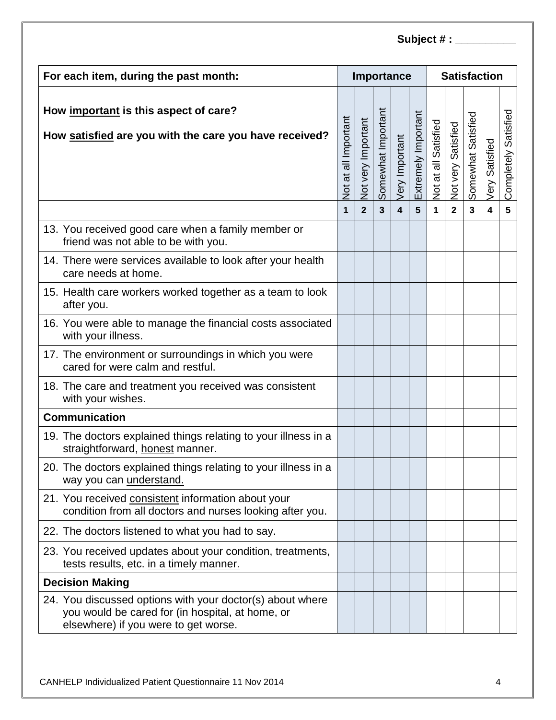| For each item, during the past month:                                                                                                                 |                      |                    |                    | Importance              |                     | <b>Satisfaction</b>  |                    |                    |                         |                         |  |
|-------------------------------------------------------------------------------------------------------------------------------------------------------|----------------------|--------------------|--------------------|-------------------------|---------------------|----------------------|--------------------|--------------------|-------------------------|-------------------------|--|
| How important is this aspect of care?<br>How satisfied are you with the care you have received?                                                       | Not at all Important | Not very Important | Somewhat Important | Very Important          | Extremely Important | Not at all Satisfied | Not very Satisfied | Somewhat Satisfied | Very Satisfied          | Satisfied<br>Completely |  |
|                                                                                                                                                       | 1                    | $\overline{2}$     | $\overline{3}$     | $\overline{\mathbf{4}}$ | 5                   | 1                    | $\overline{2}$     | 3                  | $\overline{\mathbf{4}}$ | 5                       |  |
| 13. You received good care when a family member or<br>friend was not able to be with you.                                                             |                      |                    |                    |                         |                     |                      |                    |                    |                         |                         |  |
| 14. There were services available to look after your health<br>care needs at home.                                                                    |                      |                    |                    |                         |                     |                      |                    |                    |                         |                         |  |
| 15. Health care workers worked together as a team to look<br>after you.                                                                               |                      |                    |                    |                         |                     |                      |                    |                    |                         |                         |  |
| 16. You were able to manage the financial costs associated<br>with your illness.                                                                      |                      |                    |                    |                         |                     |                      |                    |                    |                         |                         |  |
| 17. The environment or surroundings in which you were<br>cared for were calm and restful.                                                             |                      |                    |                    |                         |                     |                      |                    |                    |                         |                         |  |
| 18. The care and treatment you received was consistent<br>with your wishes.                                                                           |                      |                    |                    |                         |                     |                      |                    |                    |                         |                         |  |
| <b>Communication</b>                                                                                                                                  |                      |                    |                    |                         |                     |                      |                    |                    |                         |                         |  |
| 19. The doctors explained things relating to your illness in a<br>straightforward, honest manner.                                                     |                      |                    |                    |                         |                     |                      |                    |                    |                         |                         |  |
| 20. The doctors explained things relating to your illness in a<br>way you can <i>understand</i> .                                                     |                      |                    |                    |                         |                     |                      |                    |                    |                         |                         |  |
| 21. You received consistent information about your<br>condition from all doctors and nurses looking after you.                                        |                      |                    |                    |                         |                     |                      |                    |                    |                         |                         |  |
| 22. The doctors listened to what you had to say.                                                                                                      |                      |                    |                    |                         |                     |                      |                    |                    |                         |                         |  |
| 23. You received updates about your condition, treatments,<br>tests results, etc. in a timely manner.                                                 |                      |                    |                    |                         |                     |                      |                    |                    |                         |                         |  |
| <b>Decision Making</b>                                                                                                                                |                      |                    |                    |                         |                     |                      |                    |                    |                         |                         |  |
| 24. You discussed options with your doctor(s) about where<br>you would be cared for (in hospital, at home, or<br>elsewhere) if you were to get worse. |                      |                    |                    |                         |                     |                      |                    |                    |                         |                         |  |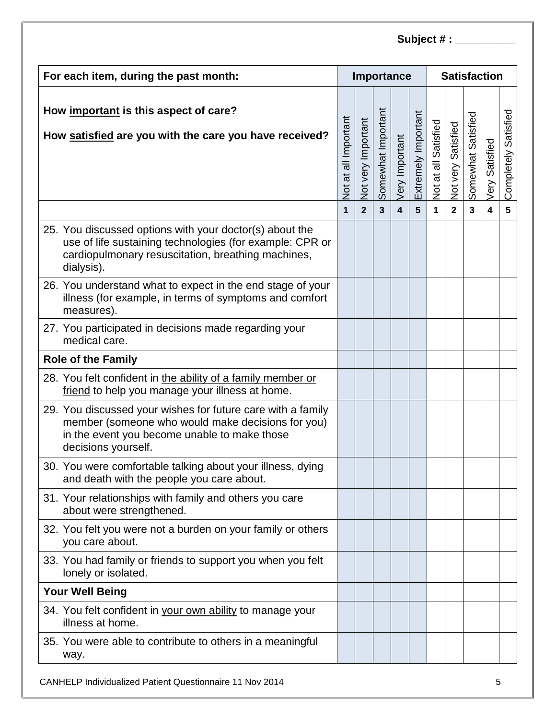| For each item, during the past month:                                                                                                                                                   |                             |                    |                    | Importance              |                     | <b>Satisfaction</b>  |                    |                    |                         |                         |  |
|-----------------------------------------------------------------------------------------------------------------------------------------------------------------------------------------|-----------------------------|--------------------|--------------------|-------------------------|---------------------|----------------------|--------------------|--------------------|-------------------------|-------------------------|--|
| How important is this aspect of care?<br>How satisfied are you with the care you have received?                                                                                         | <b>Not at all Important</b> | Not very Important | Somewhat Important | Very Important          | Extremely Important | Not at all Satisfied | Not very Satisfied | Somewhat Satisfied | Very Satisfied          | Satisfied<br>Completely |  |
|                                                                                                                                                                                         | $\mathbf 1$                 | $\overline{2}$     | $\overline{3}$     | $\overline{\mathbf{4}}$ | 5                   | 1                    | $\overline{2}$     | $\mathbf{3}$       | $\overline{\mathbf{4}}$ | 5                       |  |
| 25. You discussed options with your doctor(s) about the<br>use of life sustaining technologies (for example: CPR or<br>cardiopulmonary resuscitation, breathing machines,<br>dialysis). |                             |                    |                    |                         |                     |                      |                    |                    |                         |                         |  |
| 26. You understand what to expect in the end stage of your<br>illness (for example, in terms of symptoms and comfort<br>measures).                                                      |                             |                    |                    |                         |                     |                      |                    |                    |                         |                         |  |
| 27. You participated in decisions made regarding your<br>medical care.                                                                                                                  |                             |                    |                    |                         |                     |                      |                    |                    |                         |                         |  |
| <b>Role of the Family</b>                                                                                                                                                               |                             |                    |                    |                         |                     |                      |                    |                    |                         |                         |  |
| 28. You felt confident in the ability of a family member or<br>friend to help you manage your illness at home.                                                                          |                             |                    |                    |                         |                     |                      |                    |                    |                         |                         |  |
| 29. You discussed your wishes for future care with a family<br>member (someone who would make decisions for you)<br>in the event you become unable to make those<br>decisions yourself. |                             |                    |                    |                         |                     |                      |                    |                    |                         |                         |  |
| 30. You were comfortable talking about your illness, dying<br>and death with the people you care about.                                                                                 |                             |                    |                    |                         |                     |                      |                    |                    |                         |                         |  |
| 31. Your relationships with family and others you care<br>about were strengthened.                                                                                                      |                             |                    |                    |                         |                     |                      |                    |                    |                         |                         |  |
| 32. You felt you were not a burden on your family or others<br>you care about.                                                                                                          |                             |                    |                    |                         |                     |                      |                    |                    |                         |                         |  |
| 33. You had family or friends to support you when you felt<br>lonely or isolated.                                                                                                       |                             |                    |                    |                         |                     |                      |                    |                    |                         |                         |  |
| <b>Your Well Being</b>                                                                                                                                                                  |                             |                    |                    |                         |                     |                      |                    |                    |                         |                         |  |
| 34. You felt confident in your own ability to manage your<br>illness at home.                                                                                                           |                             |                    |                    |                         |                     |                      |                    |                    |                         |                         |  |
| 35. You were able to contribute to others in a meaningful<br>way.                                                                                                                       |                             |                    |                    |                         |                     |                      |                    |                    |                         |                         |  |